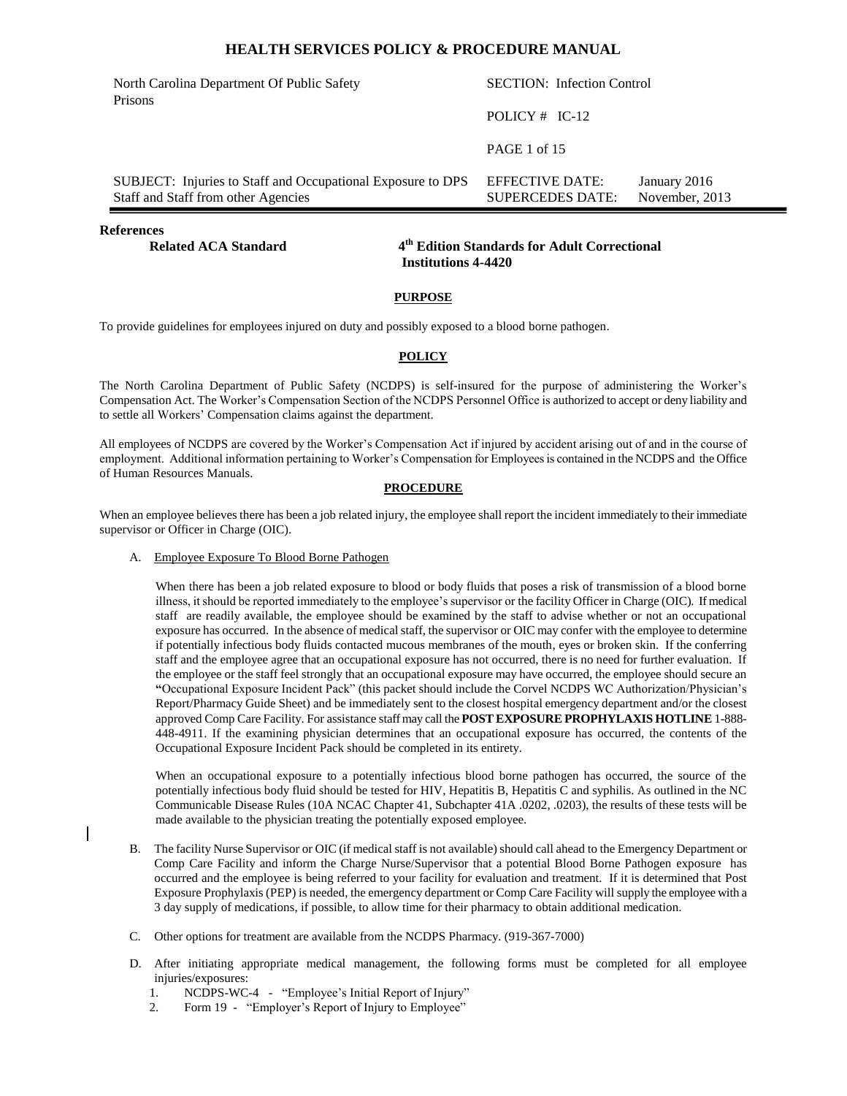| North Carolina Department Of Public Safety<br>Prisons                                              | <b>SECTION:</b> Infection Control          |                                |
|----------------------------------------------------------------------------------------------------|--------------------------------------------|--------------------------------|
|                                                                                                    | POLICY $#$ IC-12                           |                                |
|                                                                                                    | <b>PAGE 1 of 15</b>                        |                                |
| SUBJECT: Injuries to Staff and Occupational Exposure to DPS<br>Staff and Staff from other Agencies | EFFECTIVE DATE:<br><b>SUPERCEDES DATE:</b> | January 2016<br>November, 2013 |
|                                                                                                    |                                            |                                |

**References** 

**Related ACA Standard** 

#### **th Edition Standards for Adult Correctional Institutions 4-4420**

#### **PURPOSE**

To provide guidelines for employees injured on duty and possibly exposed to a blood borne pathogen.

#### **POLICY**

The North Carolina Department of Public Safety (NCDPS) is self-insured for the purpose of administering the Worker's Compensation Act. The Worker's Compensation Section of the NCDPS Personnel Office is authorized to accept or deny liability and to settle all Workers' Compensation claims against the department.

All employees of NCDPS are covered by the Worker's Compensation Act if injured by accident arising out of and in the course of employment. Additional information pertaining to Worker's Compensation for Employees is contained in the NCDPS and the Office of Human Resources Manuals.

#### **PROCEDURE**

When an employee believes there has been a job related injury, the employee shall report the incident immediately to their immediate supervisor or Officer in Charge (OIC).

A. Employee Exposure To Blood Borne Pathogen

When there has been a job related exposure to blood or body fluids that poses a risk of transmission of a blood borne illness, it should be reported immediately to the employee's supervisor or the facility Officer in Charge (OIC). If medical staff are readily available, the employee should be examined by the staff to advise whether or not an occupational exposure has occurred. In the absence of medical staff, the supervisor or OIC may confer with the employee to determine if potentially infectious body fluids contacted mucous membranes of the mouth, eyes or broken skin. If the conferring staff and the employee agree that an occupational exposure has not occurred, there is no need for further evaluation. If the employee or the staff feel strongly that an occupational exposure may have occurred, the employee should secure an **"**Occupational Exposure Incident Pack" (this packet should include the Corvel NCDPS WC Authorization/Physician's Report/Pharmacy Guide Sheet) and be immediately sent to the closest hospital emergency department and/or the closest approved Comp Care Facility. For assistance staff may call the **POST EXPOSURE PROPHYLAXIS HOTLINE** 1-888- 448-4911. If the examining physician determines that an occupational exposure has occurred, the contents of the Occupational Exposure Incident Pack should be completed in its entirety.

When an occupational exposure to a potentially infectious blood borne pathogen has occurred, the source of the potentially infectious body fluid should be tested for HIV, Hepatitis B, Hepatitis C and syphilis. As outlined in the NC Communicable Disease Rules (10A NCAC Chapter 41, Subchapter 41A .0202, .0203), the results of these tests will be made available to the physician treating the potentially exposed employee.

- B. The facility Nurse Supervisor or OIC (if medical staff is not available) should call ahead to the Emergency Department or Comp Care Facility and inform the Charge Nurse/Supervisor that a potential Blood Borne Pathogen exposure has occurred and the employee is being referred to your facility for evaluation and treatment. If it is determined that Post Exposure Prophylaxis (PEP) is needed, the emergency department or Comp Care Facility will supply the employee with a 3 day supply of medications, if possible, to allow time for their pharmacy to obtain additional medication.
- C. Other options for treatment are available from the NCDPS Pharmacy. (919-367-7000)
- D. After initiating appropriate medical management, the following forms must be completed for all employee injuries/exposures:
	- 1. NCDPS-WC-4 "Employee's Initial Report of Injury"
	- 2. Form 19 "Employer's Report of Injury to Employee"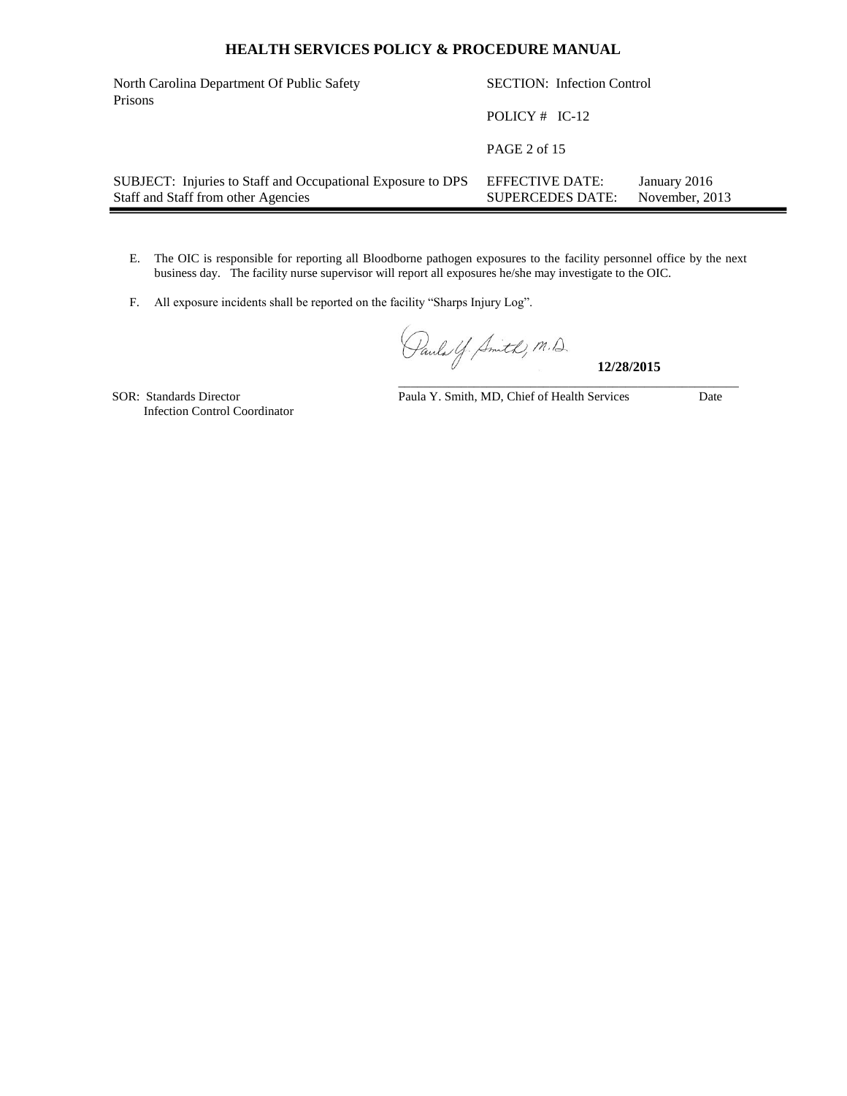| North Carolina Department Of Public Safety<br>Prisons                                              | <b>SECTION:</b> Infection Control          |                                |  |
|----------------------------------------------------------------------------------------------------|--------------------------------------------|--------------------------------|--|
|                                                                                                    | POLICY $#$ IC-12                           |                                |  |
|                                                                                                    | PAGE 2 of 15                               |                                |  |
| SUBJECT: Injuries to Staff and Occupational Exposure to DPS<br>Staff and Staff from other Agencies | EFFECTIVE DATE:<br><b>SUPERCEDES DATE:</b> | January 2016<br>November, 2013 |  |

- E. The OIC is responsible for reporting all Bloodborne pathogen exposures to the facility personnel office by the next business day. The facility nurse supervisor will report all exposures he/she may investigate to the OIC.
- F. All exposure incidents shall be reported on the facility "Sharps Injury Log".

Pauls Y. Smith, M.D.

**12/28/2015**

Infection Control Coordinator

SOR: Standards Director Paula Y. Smith, MD, Chief of Health Services Date

\_\_\_\_\_\_\_\_\_\_\_\_\_\_\_\_\_\_\_\_\_\_\_\_\_\_\_\_\_\_\_\_\_\_\_\_\_\_\_\_\_\_\_\_\_\_\_\_\_\_\_\_\_\_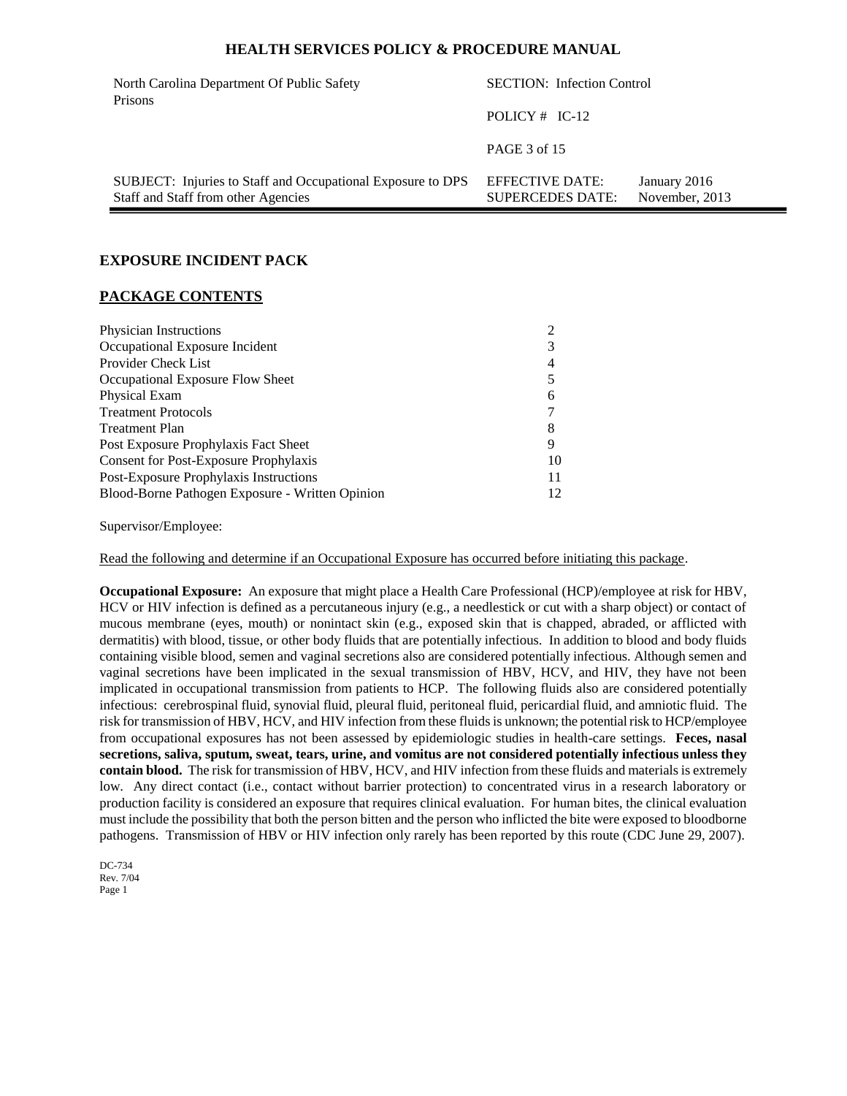| <b>SECTION:</b> Infection Control<br>North Carolina Department Of Public Safety<br>Prisons         |                                            |                                |
|----------------------------------------------------------------------------------------------------|--------------------------------------------|--------------------------------|
|                                                                                                    | POLICY $#$ IC-12                           |                                |
|                                                                                                    | PAGE 3 of 15                               |                                |
| SUBJECT: Injuries to Staff and Occupational Exposure to DPS<br>Staff and Staff from other Agencies | EFFECTIVE DATE:<br><b>SUPERCEDES DATE:</b> | January 2016<br>November, 2013 |

#### **EXPOSURE INCIDENT PACK**

#### **PACKAGE CONTENTS**

| Physician Instructions                          |    |
|-------------------------------------------------|----|
| Occupational Exposure Incident                  | 3  |
| Provider Check List                             | 4  |
| Occupational Exposure Flow Sheet                |    |
| Physical Exam                                   | 6  |
| <b>Treatment Protocols</b>                      |    |
| Treatment Plan                                  | 8  |
| Post Exposure Prophylaxis Fact Sheet            | 9  |
| <b>Consent for Post-Exposure Prophylaxis</b>    | 10 |
| Post-Exposure Prophylaxis Instructions          | 11 |
| Blood-Borne Pathogen Exposure - Written Opinion |    |

Supervisor/Employee:

Read the following and determine if an Occupational Exposure has occurred before initiating this package.

**Occupational Exposure:** An exposure that might place a Health Care Professional (HCP)/employee at risk for HBV, HCV or HIV infection is defined as a percutaneous injury (e.g., a needlestick or cut with a sharp object) or contact of mucous membrane (eyes, mouth) or nonintact skin (e.g., exposed skin that is chapped, abraded, or afflicted with dermatitis) with blood, tissue, or other body fluids that are potentially infectious. In addition to blood and body fluids containing visible blood, semen and vaginal secretions also are considered potentially infectious. Although semen and vaginal secretions have been implicated in the sexual transmission of HBV, HCV, and HIV, they have not been implicated in occupational transmission from patients to HCP. The following fluids also are considered potentially infectious: cerebrospinal fluid, synovial fluid, pleural fluid, peritoneal fluid, pericardial fluid, and amniotic fluid. The risk for transmission of HBV, HCV, and HIV infection from these fluids is unknown; the potential risk to HCP/employee from occupational exposures has not been assessed by epidemiologic studies in health-care settings. **Feces, nasal secretions, saliva, sputum, sweat, tears, urine, and vomitus are not considered potentially infectious unless they contain blood.** The risk for transmission of HBV, HCV, and HIV infection from these fluids and materials is extremely low. Any direct contact (i.e., contact without barrier protection) to concentrated virus in a research laboratory or production facility is considered an exposure that requires clinical evaluation. For human bites, the clinical evaluation must include the possibility that both the person bitten and the person who inflicted the bite were exposed to bloodborne pathogens. Transmission of HBV or HIV infection only rarely has been reported by this route (CDC June 29, 2007).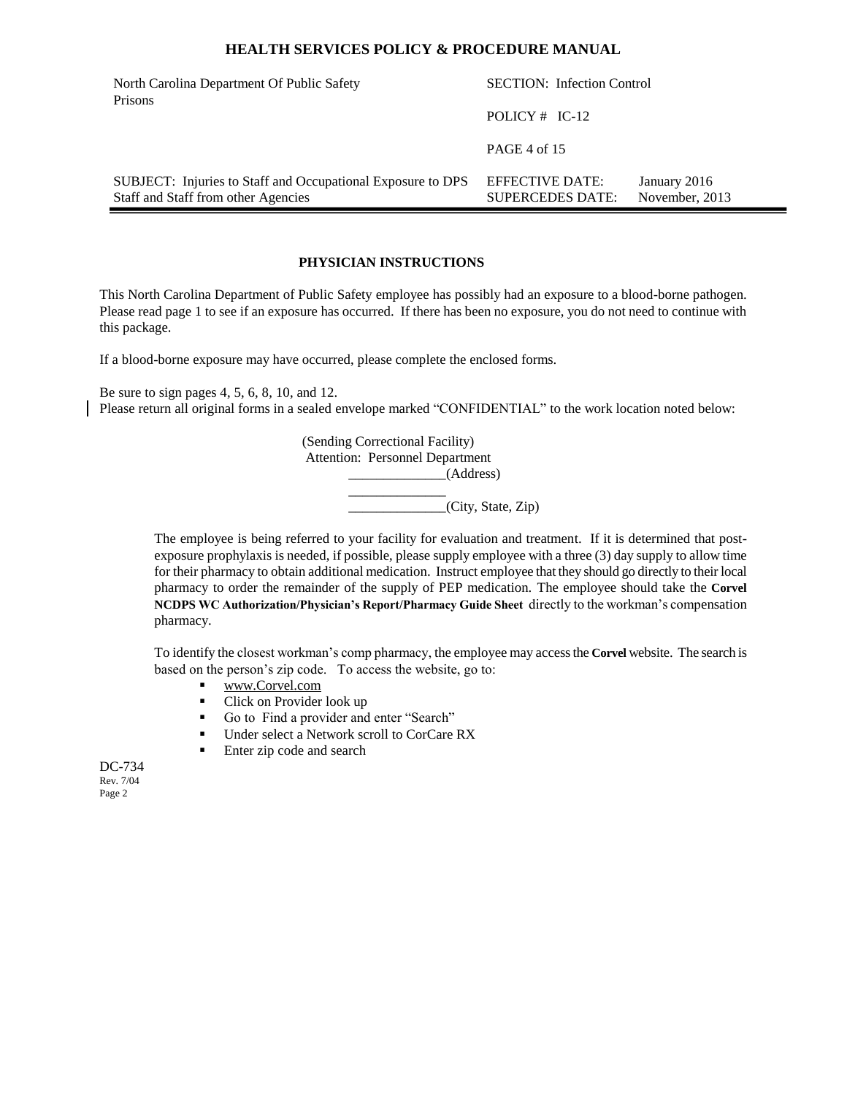| North Carolina Department Of Public Safety<br>Prisons                                              | <b>SECTION:</b> Infection Control          |                                |
|----------------------------------------------------------------------------------------------------|--------------------------------------------|--------------------------------|
|                                                                                                    | POLICY $#$ IC-12                           |                                |
|                                                                                                    | PAGE 4 of 15                               |                                |
| SUBJECT: Injuries to Staff and Occupational Exposure to DPS<br>Staff and Staff from other Agencies | EFFECTIVE DATE:<br><b>SUPERCEDES DATE:</b> | January 2016<br>November, 2013 |

## **PHYSICIAN INSTRUCTIONS**

This North Carolina Department of Public Safety employee has possibly had an exposure to a blood-borne pathogen. Please read page 1 to see if an exposure has occurred. If there has been no exposure, you do not need to continue with this package.

If a blood-borne exposure may have occurred, please complete the enclosed forms.

Be sure to sign pages 4, 5, 6, 8, 10, and 12. Please return all original forms in a sealed envelope marked "CONFIDENTIAL" to the work location noted below:

> (Sending Correctional Facility) Attention: Personnel Department \_\_\_\_\_\_\_\_\_\_\_\_\_\_(Address) \_\_\_\_\_\_\_\_\_\_\_\_\_\_  $\overline{\phantom{a}}$  (City, State, Zip)

The employee is being referred to your facility for evaluation and treatment. If it is determined that postexposure prophylaxis is needed, if possible, please supply employee with a three (3) day supply to allow time for their pharmacy to obtain additional medication. Instruct employee that they should go directly to their local pharmacy to order the remainder of the supply of PEP medication. The employee should take the **Corvel NCDPS WC Authorization/Physician's Report/Pharmacy Guide Sheet** directly to the workman's compensation pharmacy.

To identify the closest workman's comp pharmacy, the employee may access the **Corvel** website. The search is based on the person's zip code. To access the website, go to:

- [www.Corvel.com](http://www.corvel.com/)
- Click on Provider look up
- Go to Find a provider and enter "Search"
- Under select a Network scroll to CorCare RX
- Enter zip code and search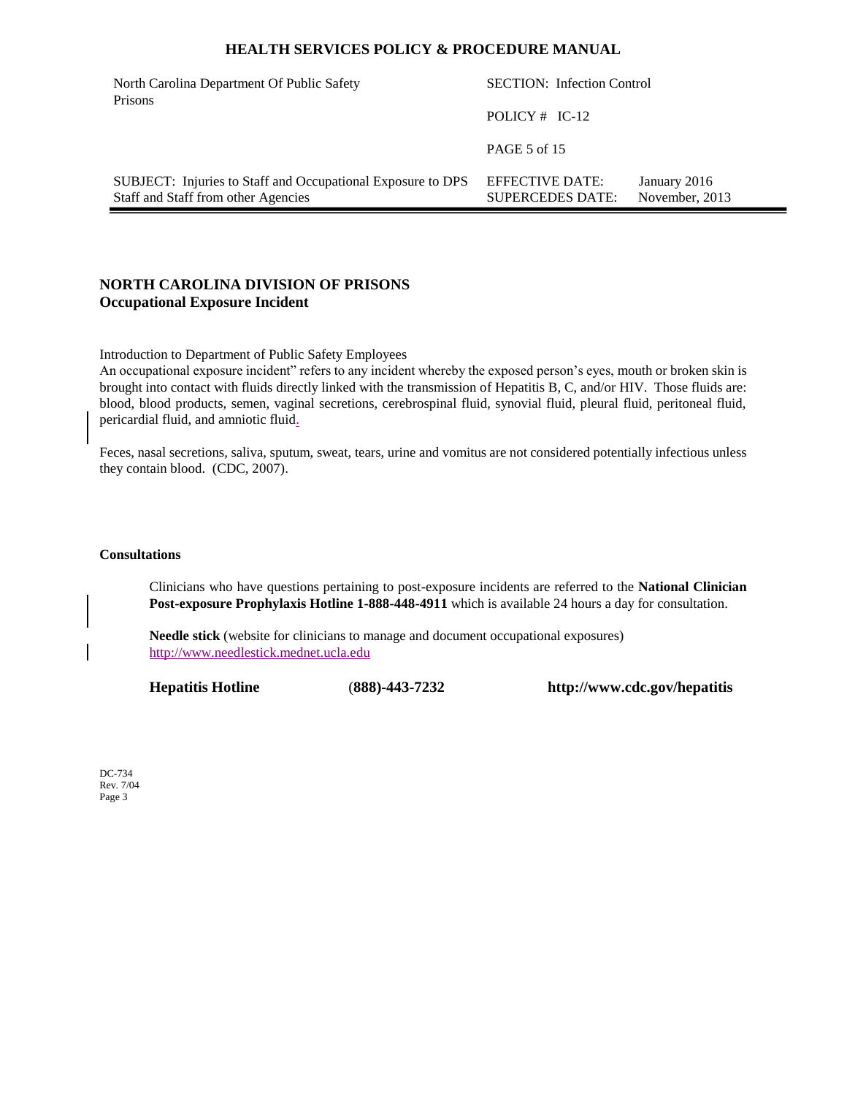| North Carolina Department Of Public Safety<br>Prisons                                              | <b>SECTION:</b> Infection Control          |                                |
|----------------------------------------------------------------------------------------------------|--------------------------------------------|--------------------------------|
|                                                                                                    | POLICY $#$ IC-12                           |                                |
|                                                                                                    | PAGE 5 of 15                               |                                |
| SUBJECT: Injuries to Staff and Occupational Exposure to DPS<br>Staff and Staff from other Agencies | EFFECTIVE DATE:<br><b>SUPERCEDES DATE:</b> | January 2016<br>November, 2013 |

## **NORTH CAROLINA DIVISION OF PRISONS Occupational Exposure Incident**

Introduction to Department of Public Safety Employees

An occupational exposure incident" refers to any incident whereby the exposed person's eyes, mouth or broken skin is brought into contact with fluids directly linked with the transmission of Hepatitis B, C, and/or HIV. Those fluids are: blood, blood products, semen, vaginal secretions, cerebrospinal fluid, synovial fluid, pleural fluid, peritoneal fluid, pericardial fluid, and amniotic fluid.

Feces, nasal secretions, saliva, sputum, sweat, tears, urine and vomitus are not considered potentially infectious unless they contain blood. (CDC, 2007).

#### **Consultations**

Clinicians who have questions pertaining to post-exposure incidents are referred to the **National Clinician Post-exposure Prophylaxis Hotline 1-888-448-4911** which is available 24 hours a day for consultation.

**Needle stick** (website for clinicians to manage and document occupational exposures) [http://www.needlestick.mednet.ucla.edu](http://www.needlestick.mednet.ucla.edu/)

**Hepatitis Hotline** (**888)-443-7232 http://www.cdc.gov/hepatitis**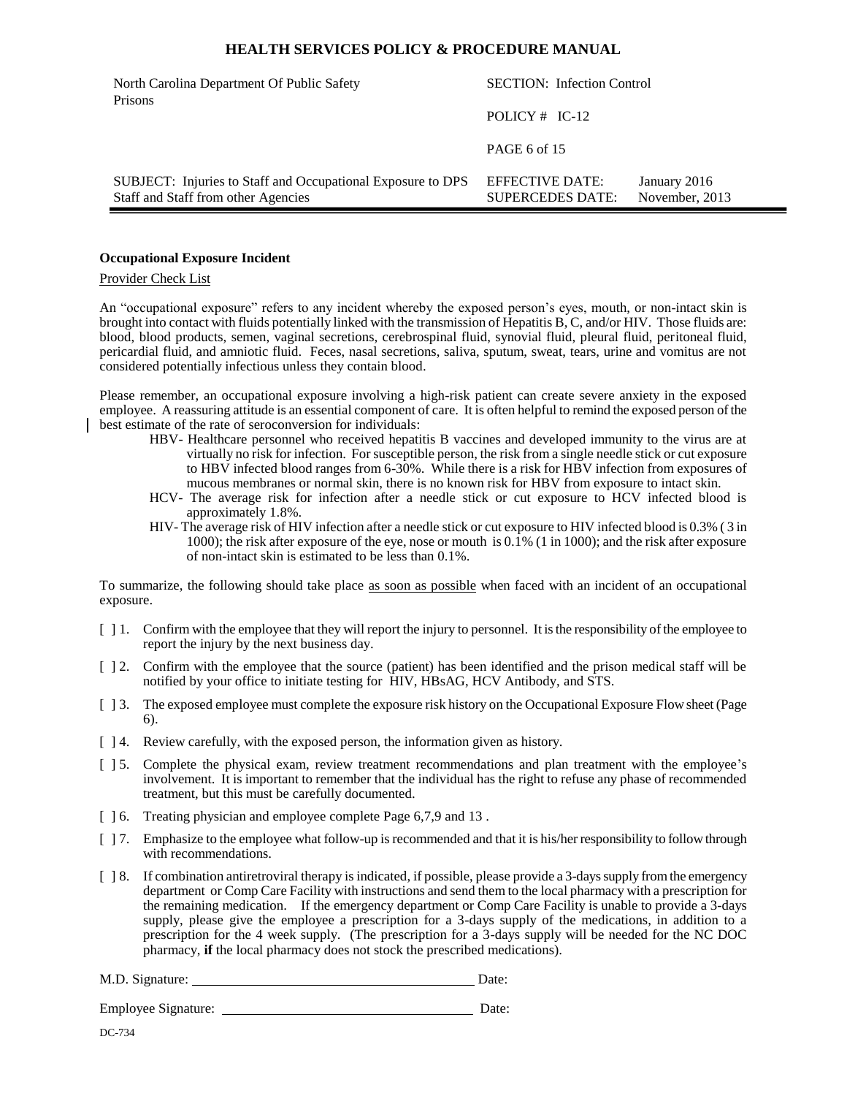| North Carolina Department Of Public Safety<br>Prisons                                              | <b>SECTION:</b> Infection Control          |                                |
|----------------------------------------------------------------------------------------------------|--------------------------------------------|--------------------------------|
|                                                                                                    | POLICY $#$ IC-12                           |                                |
|                                                                                                    | PAGE 6 of 15                               |                                |
| SUBJECT: Injuries to Staff and Occupational Exposure to DPS<br>Staff and Staff from other Agencies | EFFECTIVE DATE:<br><b>SUPERCEDES DATE:</b> | January 2016<br>November, 2013 |

#### **Occupational Exposure Incident**

#### Provider Check List

An "occupational exposure" refers to any incident whereby the exposed person's eyes, mouth, or non-intact skin is brought into contact with fluids potentially linked with the transmission of Hepatitis B, C, and/or HIV. Those fluids are: blood, blood products, semen, vaginal secretions, cerebrospinal fluid, synovial fluid, pleural fluid, peritoneal fluid, pericardial fluid, and amniotic fluid. Feces, nasal secretions, saliva, sputum, sweat, tears, urine and vomitus are not considered potentially infectious unless they contain blood.

Please remember, an occupational exposure involving a high-risk patient can create severe anxiety in the exposed employee. A reassuring attitude is an essential component of care. It is often helpful to remind the exposed person of the best estimate of the rate of seroconversion for individuals:

- HBV- Healthcare personnel who received hepatitis B vaccines and developed immunity to the virus are at virtually no risk for infection. For susceptible person, the risk from a single needle stick or cut exposure to HBV infected blood ranges from 6-30%. While there is a risk for HBV infection from exposures of mucous membranes or normal skin, there is no known risk for HBV from exposure to intact skin.
- HCV- The average risk for infection after a needle stick or cut exposure to HCV infected blood is approximately 1.8%.
- HIV- The average risk of HIV infection after a needle stick or cut exposure to HIV infected blood is 0.3% ( 3 in 1000); the risk after exposure of the eye, nose or mouth is 0.1% (1 in 1000); and the risk after exposure of non-intact skin is estimated to be less than 0.1%.

To summarize, the following should take place as soon as possible when faced with an incident of an occupational exposure.

- [ ] 1. Confirm with the employee that they will report the injury to personnel. It is the responsibility of the employee to report the injury by the next business day.
- [ ] 2. Confirm with the employee that the source (patient) has been identified and the prison medical staff will be notified by your office to initiate testing for HIV, HBsAG, HCV Antibody, and STS.
- [ ] 3. The exposed employee must complete the exposure risk history on the Occupational Exposure Flow sheet (Page 6).
- [ ] 4. Review carefully, with the exposed person, the information given as history.
- [ ] 5. Complete the physical exam, review treatment recommendations and plan treatment with the employee's involvement. It is important to remember that the individual has the right to refuse any phase of recommended treatment, but this must be carefully documented.
- [  $\vert$  6. Treating physician and employee complete Page 6,7,9 and 13.
- [ ] 7. Emphasize to the employee what follow-up is recommended and that it is his/her responsibility to follow through with recommendations.
- [  $\beta$ . If combination antiretroviral therapy is indicated, if possible, please provide a 3-days supply from the emergency department or Comp Care Facility with instructions and send them to the local pharmacy with a prescription for the remaining medication. If the emergency department or Comp Care Facility is unable to provide a 3-days supply, please give the employee a prescription for a 3-days supply of the medications, in addition to a prescription for the 4 week supply. (The prescription for a 3-days supply will be needed for the NC DOC pharmacy, **if** the local pharmacy does not stock the prescribed medications).

M.D. Signature: Date:

Employee Signature: Date: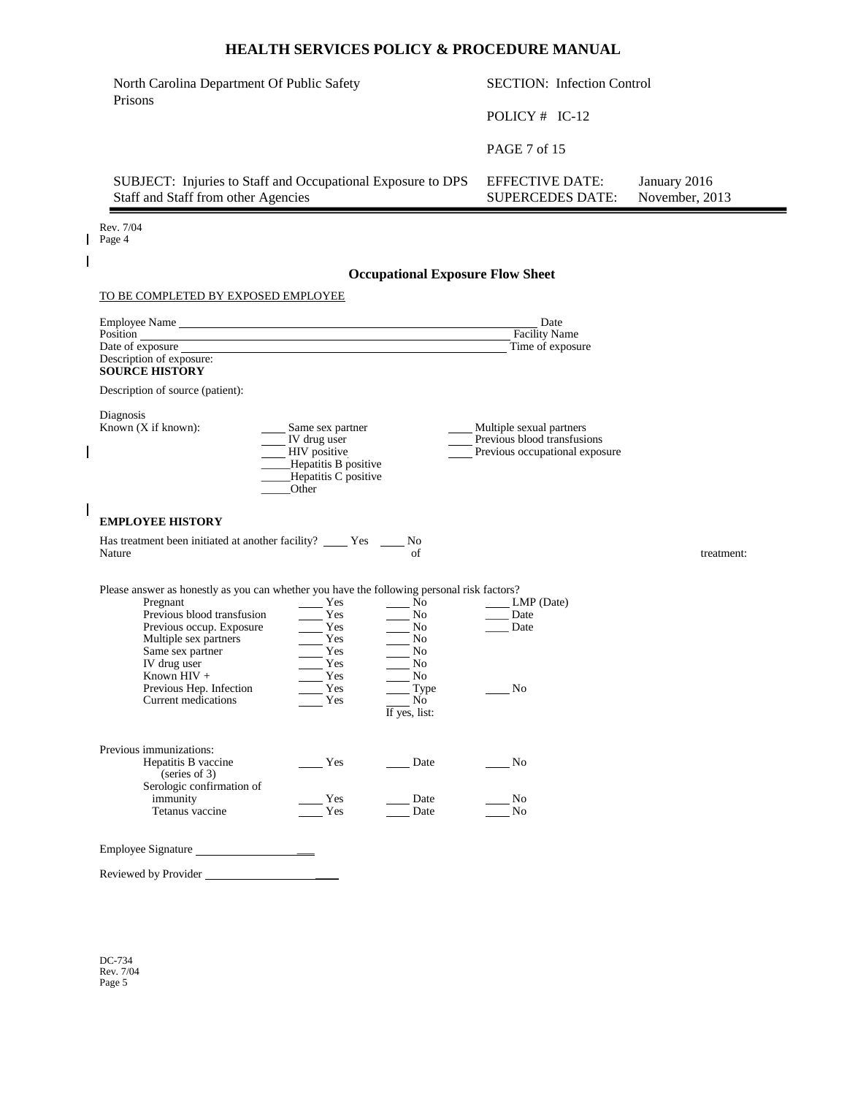| North Carolina Department Of Public Safety                                                         | <b>SECTION:</b> Infection Control          |                                |
|----------------------------------------------------------------------------------------------------|--------------------------------------------|--------------------------------|
| Prisons                                                                                            | POLICY $#$ IC-12                           |                                |
|                                                                                                    | PAGE 7 of 15                               |                                |
| SUBJECT: Injuries to Staff and Occupational Exposure to DPS<br>Staff and Staff from other Agencies | EFFECTIVE DATE:<br><b>SUPERCEDES DATE:</b> | January 2016<br>November, 2013 |

Rev. 7/04 Page 4

 $\overline{1}$ 

 $\begin{array}{c} \hline \end{array}$ 

 $\mathsf I$ 

## **Occupational Exposure Flow Sheet**

#### TO BE COMPLETED BY EXPOSED EMPLOYEE

| Date of exposure that the state of exposure that the state of exposure that the state of exposure that the state of exposure that the state of exposure that the state of exposure that the state of exposure that the state o<br>Description of exposure:<br><b>SOURCE HISTORY</b>              |                                                                                                                  |                                                                       | Date<br><b>Facility Name</b><br>Time of exposure                                          |            |
|--------------------------------------------------------------------------------------------------------------------------------------------------------------------------------------------------------------------------------------------------------------------------------------------------|------------------------------------------------------------------------------------------------------------------|-----------------------------------------------------------------------|-------------------------------------------------------------------------------------------|------------|
| Description of source (patient):                                                                                                                                                                                                                                                                 |                                                                                                                  |                                                                       |                                                                                           |            |
| Diagnosis<br>Known (X if known):                                                                                                                                                                                                                                                                 | Same sex partner<br>IV drug user<br><b>HIV</b> positive<br>Hepatitis B positive<br>Hepatitis C positive<br>Other |                                                                       | Multiple sexual partners<br>Previous blood transfusions<br>Previous occupational exposure |            |
| <b>EMPLOYEE HISTORY</b>                                                                                                                                                                                                                                                                          |                                                                                                                  |                                                                       |                                                                                           |            |
| Has treatment been initiated at another facility? Yes<br>Nature                                                                                                                                                                                                                                  |                                                                                                                  | No<br>of                                                              |                                                                                           | treatment: |
| Please answer as honestly as you can whether you have the following personal risk factors?<br>Pregnant<br>Previous blood transfusion<br>Previous occup. Exposure<br>Multiple sex partners<br>Same sex partner<br>IV drug user<br>Known $HIV +$<br>Previous Hep. Infection<br>Current medications | Yes<br>Yes<br>$\frac{1}{\sqrt{1-\frac{1}{2}}}\gamma$<br>Yes<br>Yes<br>$\mathbf{Yes}$<br>Yes<br>Yes<br>Yes        | No<br>No<br>No<br>No<br>No<br>No<br>No<br>Type<br>No<br>If yes, list: | LMP (Date)<br>Date<br>Date<br>No                                                          |            |
| Previous immunizations:<br>Hepatitis B vaccine<br>(series of 3)<br>Serologic confirmation of<br>immunity<br>Tetanus vaccine                                                                                                                                                                      | Yes<br>Yes<br>Yes                                                                                                | Date<br>Date<br>Date                                                  | No<br>No<br>No                                                                            |            |
| Employee Signature                                                                                                                                                                                                                                                                               |                                                                                                                  |                                                                       |                                                                                           |            |
| Reviewed by Provider                                                                                                                                                                                                                                                                             |                                                                                                                  |                                                                       |                                                                                           |            |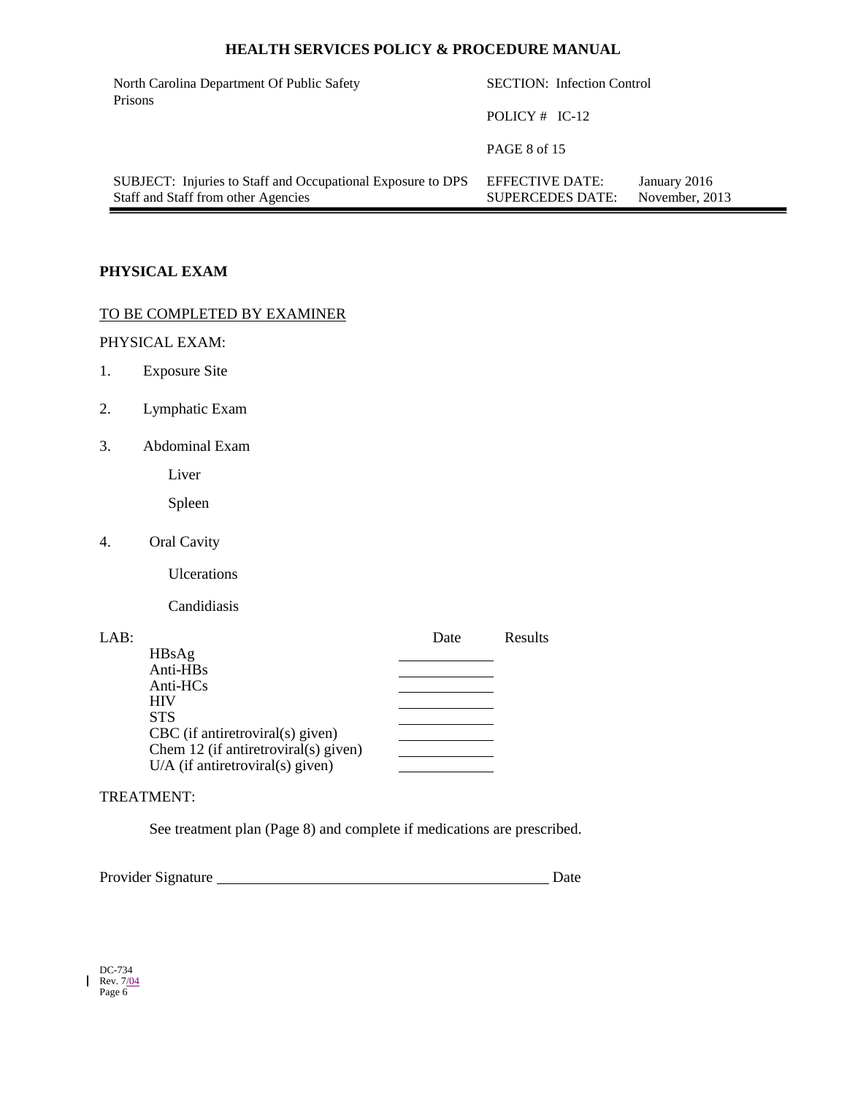| North Carolina Department Of Public Safety<br>Prisons                                              | <b>SECTION:</b> Infection Control                 |                                |
|----------------------------------------------------------------------------------------------------|---------------------------------------------------|--------------------------------|
|                                                                                                    | POLICY $#$ IC-12                                  |                                |
|                                                                                                    | <b>PAGE 8 of 15</b>                               |                                |
| SUBJECT: Injuries to Staff and Occupational Exposure to DPS<br>Staff and Staff from other Agencies | <b>EFFECTIVE DATE:</b><br><b>SUPERCEDES DATE:</b> | January 2016<br>November, 2013 |

# **PHYSICAL EXAM**

# TO BE COMPLETED BY EXAMINER

# PHYSICAL EXAM:

- 1. Exposure Site
- 2. Lymphatic Exam
- 3. Abdominal Exam

Liver

Spleen

4. Oral Cavity

Ulcerations

Candidiasis

| LAB: |                                      | Date | Results |
|------|--------------------------------------|------|---------|
|      | HBsAg                                |      |         |
|      | Anti-HBs                             |      |         |
|      | Anti-HCs                             |      |         |
|      | <b>HIV</b>                           |      |         |
|      | <b>STS</b>                           |      |         |
|      | $CBC$ (if antiretroviral(s) given)   |      |         |
|      | Chem 12 (if antiretroviral(s) given) |      |         |
|      | $U/A$ (if antiretroviral(s) given)   |      |         |
|      |                                      |      |         |

## TREATMENT:

See treatment plan (Page 8) and complete if medications are prescribed.

Provider Signature Date

| DC-734    |
|-----------|
| Rev. 7/04 |
| Page 6    |

 $\mathbf{l}$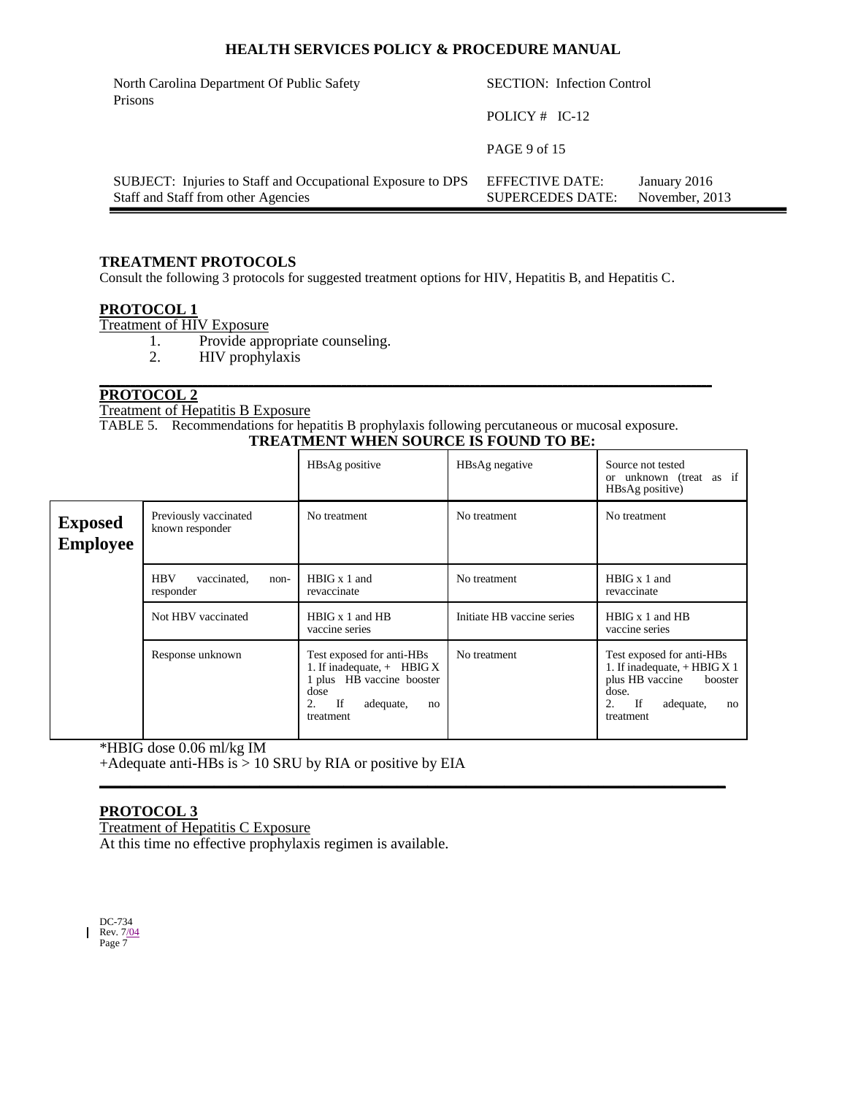| North Carolina Department Of Public Safety<br>Prisons                                              | <b>SECTION:</b> Infection Control          |                                |  |
|----------------------------------------------------------------------------------------------------|--------------------------------------------|--------------------------------|--|
|                                                                                                    | POLICY $#$ IC-12                           |                                |  |
|                                                                                                    | PAGE 9 of 15                               |                                |  |
| SUBJECT: Injuries to Staff and Occupational Exposure to DPS<br>Staff and Staff from other Agencies | EFFECTIVE DATE:<br><b>SUPERCEDES DATE:</b> | January 2016<br>November, 2013 |  |

## **TREATMENT PROTOCOLS**

Consult the following 3 protocols for suggested treatment options for HIV, Hepatitis B, and Hepatitis C.

## **PROTOCOL 1**

Treatment of HIV Exposure

- 1. Provide appropriate counseling.<br>2. HIV prophylaxis
	- HIV prophylaxis

#### **\_\_\_\_\_\_\_\_\_\_\_\_\_\_\_\_\_\_\_\_\_\_\_\_\_\_\_\_\_\_\_\_\_\_\_\_\_\_\_\_\_\_\_\_\_\_\_\_\_\_\_\_\_\_\_\_\_\_\_\_\_\_\_\_\_\_\_\_\_\_\_\_\_\_\_\_\_\_\_\_\_\_\_\_\_\_\_\_\_\_\_\_\_\_\_\_\_\_\_\_\_\_\_\_\_\_\_\_\_\_\_\_\_\_\_\_\_\_\_ PROTOCOL 2**

Treatment of Hepatitis B Exposure

TABLE 5. Recommendations for hepatitis B prophylaxis following percutaneous or mucosal exposure. **TREATMENT WHEN SOURCE IS FOUND TO BE:**

|                                   |                                                | HBsAg positive                                                                                                                             | HBsAg negative             | Source not tested<br>or unknown (treat as if<br>HBsAg positive)                                                                                       |
|-----------------------------------|------------------------------------------------|--------------------------------------------------------------------------------------------------------------------------------------------|----------------------------|-------------------------------------------------------------------------------------------------------------------------------------------------------|
| <b>Exposed</b><br><b>Employee</b> | Previously vaccinated<br>known responder       | No treatment                                                                                                                               | No treatment               | No treatment                                                                                                                                          |
|                                   | <b>HBV</b><br>vaccinated,<br>non-<br>responder | $H B I G x 1$ and<br>revaccinate                                                                                                           | No treatment               | HBIG x 1 and<br>revaccinate                                                                                                                           |
|                                   | Not HBV vaccinated                             | $H B I G x 1$ and $H B$<br>vaccine series                                                                                                  | Initiate HB vaccine series | HBIG x 1 and HB<br>vaccine series                                                                                                                     |
|                                   | Response unknown                               | Test exposed for anti-HBs<br>1. If inadequate, $+$ HBIG X<br>1 plus HB vaccine booster<br>dose<br>If<br>2.<br>adequate,<br>no<br>treatment | No treatment               | Test exposed for anti-HBs<br>1. If inadequate, $+$ HBIG X 1<br>plus HB vaccine<br>booster<br>dose.<br><b>If</b><br>2.<br>adequate,<br>no<br>treatment |

\*HBIG dose 0.06 ml/kg IM +Adequate anti-HBs is > 10 SRU by RIA or positive by EIA **\_\_\_\_\_\_\_\_\_\_\_\_\_\_\_\_\_\_\_\_\_\_\_\_\_\_\_\_\_\_\_\_\_\_\_\_\_\_\_\_\_\_\_\_\_\_\_\_\_\_\_\_\_\_\_\_\_\_\_\_\_\_\_\_\_\_\_\_\_\_\_\_\_\_\_\_\_\_\_\_\_\_**

## **PROTOCOL 3**

Treatment of Hepatitis C Exposure At this time no effective prophylaxis regimen is available.

DC-734 Rev. 7<u>/04</u><br>Page 7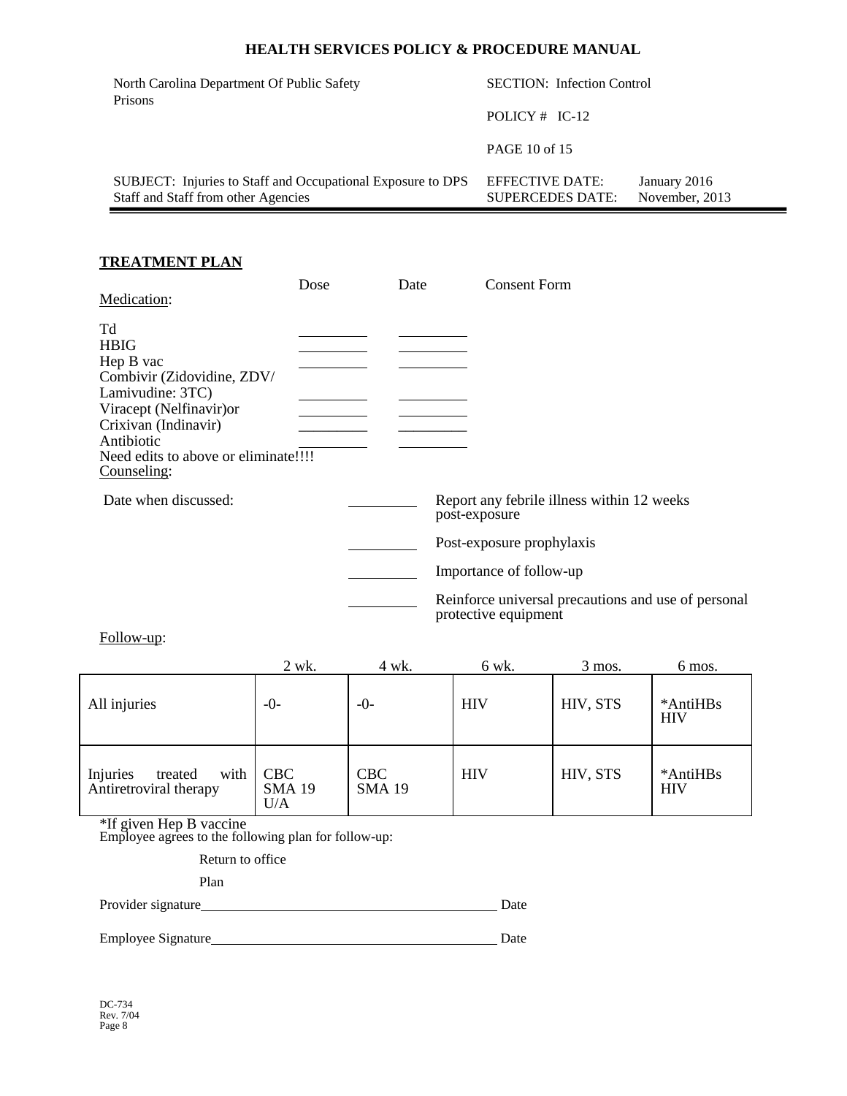| North Carolina Department Of Public Safety<br>Prisons                                              | <b>SECTION:</b> Infection Control          |                                |  |
|----------------------------------------------------------------------------------------------------|--------------------------------------------|--------------------------------|--|
|                                                                                                    | POLICY $#$ IC-12                           |                                |  |
|                                                                                                    | PAGE 10 of 15                              |                                |  |
| SUBJECT: Injuries to Staff and Occupational Exposure to DPS<br>Staff and Staff from other Agencies | EFFECTIVE DATE:<br><b>SUPERCEDES DATE:</b> | January 2016<br>November, 2013 |  |

## **TREATMENT PLAN**

|                                                                                                                                                                                                                          | Dose | Date | <b>Consent Form</b>                                                                                    |
|--------------------------------------------------------------------------------------------------------------------------------------------------------------------------------------------------------------------------|------|------|--------------------------------------------------------------------------------------------------------|
| Medication:<br>Td<br><b>HBIG</b><br>Hep B vac<br>Combivir (Zidovidine, ZDV/<br>Lamivudine: 3TC)<br>Viracept (Nelfinavir) or<br>Crixivan (Indinavir)<br>Antibiotic<br>Need edits to above or eliminate!!!!<br>Counseling: |      |      |                                                                                                        |
| Date when discussed:                                                                                                                                                                                                     |      |      | Report any febrile illness within 12 weeks<br>post-exposure<br>Post-exposure prophylaxis               |
|                                                                                                                                                                                                                          |      |      | Importance of follow-up<br>Reinforce universal precautions and use of personal<br>protective equipment |

Follow-up:

|                                                       | 2 wk.                       | 4 wk.                       | 6 wk.      | 3 mos.   | 6 mos.                 |
|-------------------------------------------------------|-----------------------------|-----------------------------|------------|----------|------------------------|
| All injuries                                          | -0-                         | $-0-$                       | <b>HIV</b> | HIV, STS | *AntiHBs<br><b>HIV</b> |
| with<br>Injuries<br>treated<br>Antiretroviral therapy | CBC<br><b>SMA 19</b><br>U/A | <b>CBC</b><br><b>SMA 19</b> | <b>HIV</b> | HIV, STS | *AntiHBs<br><b>HIV</b> |

\*If given Hep B vaccine

Employee agrees to the following plan for follow-up:

Return to office

Plan

Provider signature Date

Employee Signature Date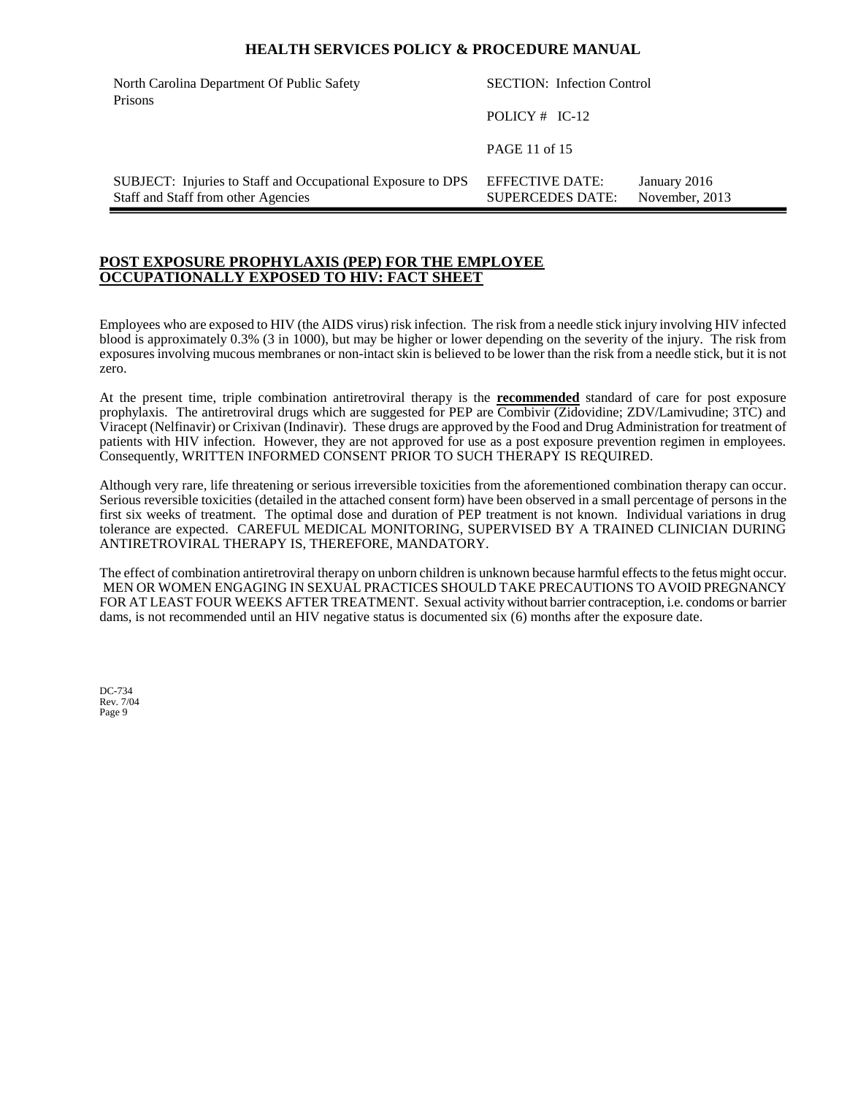| North Carolina Department Of Public Safety<br>Prisons                                              | <b>SECTION:</b> Infection Control          |                                |
|----------------------------------------------------------------------------------------------------|--------------------------------------------|--------------------------------|
|                                                                                                    | POLICY $#$ IC-12                           |                                |
|                                                                                                    | PAGE 11 of 15                              |                                |
| SUBJECT: Injuries to Staff and Occupational Exposure to DPS<br>Staff and Staff from other Agencies | EFFECTIVE DATE:<br><b>SUPERCEDES DATE:</b> | January 2016<br>November, 2013 |

## **POST EXPOSURE PROPHYLAXIS (PEP) FOR THE EMPLOYEE OCCUPATIONALLY EXPOSED TO HIV: FACT SHEET**

Employees who are exposed to HIV (the AIDS virus) risk infection. The risk from a needle stick injury involving HIV infected blood is approximately 0.3% (3 in 1000), but may be higher or lower depending on the severity of the injury. The risk from exposures involving mucous membranes or non-intact skin is believed to be lower than the risk from a needle stick, but it is not zero.

At the present time, triple combination antiretroviral therapy is the **recommended** standard of care for post exposure prophylaxis. The antiretroviral drugs which are suggested for PEP are Combivir (Zidovidine; ZDV/Lamivudine; 3TC) and Viracept (Nelfinavir) or Crixivan (Indinavir). These drugs are approved by the Food and Drug Administration for treatment of patients with HIV infection. However, they are not approved for use as a post exposure prevention regimen in employees. Consequently, WRITTEN INFORMED CONSENT PRIOR TO SUCH THERAPY IS REQUIRED.

Although very rare, life threatening or serious irreversible toxicities from the aforementioned combination therapy can occur. Serious reversible toxicities (detailed in the attached consent form) have been observed in a small percentage of persons in the first six weeks of treatment. The optimal dose and duration of PEP treatment is not known. Individual variations in drug tolerance are expected. CAREFUL MEDICAL MONITORING, SUPERVISED BY A TRAINED CLINICIAN DURING ANTIRETROVIRAL THERAPY IS, THEREFORE, MANDATORY.

The effect of combination antiretroviral therapy on unborn children is unknown because harmful effects to the fetus might occur. MEN OR WOMEN ENGAGING IN SEXUAL PRACTICES SHOULD TAKE PRECAUTIONS TO AVOID PREGNANCY FOR AT LEAST FOUR WEEKS AFTER TREATMENT. Sexual activity without barrier contraception, i.e. condoms or barrier dams, is not recommended until an HIV negative status is documented six (6) months after the exposure date.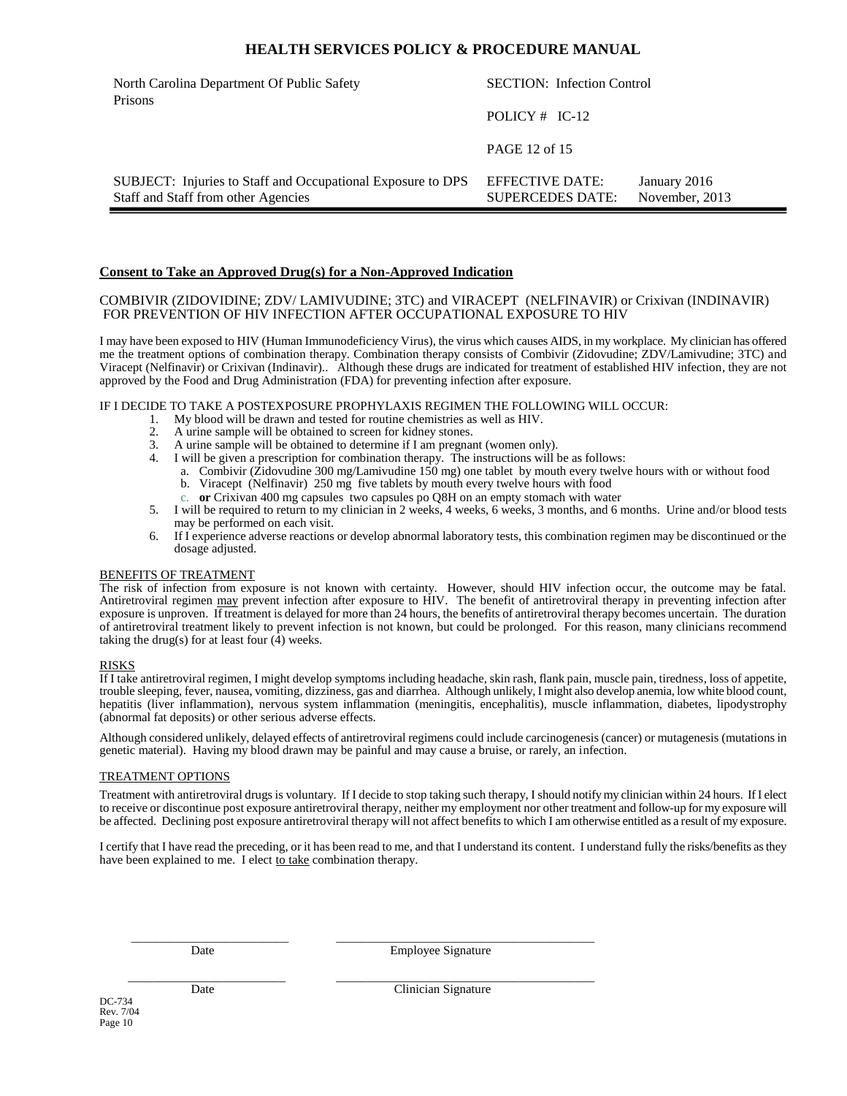| North Carolina Department Of Public Safety<br>Prisons                                              | <b>SECTION:</b> Infection Control          |                                |
|----------------------------------------------------------------------------------------------------|--------------------------------------------|--------------------------------|
|                                                                                                    | POLICY $#$ IC-12                           |                                |
|                                                                                                    | PAGE 12 of 15                              |                                |
| SUBJECT: Injuries to Staff and Occupational Exposure to DPS<br>Staff and Staff from other Agencies | EFFECTIVE DATE:<br><b>SUPERCEDES DATE:</b> | January 2016<br>November, 2013 |

#### **Consent to Take an Approved Drug(s) for a Non-Approved Indication**

#### COMBIVIR (ZIDOVIDINE; ZDV/ LAMIVUDINE; 3TC) and VIRACEPT (NELFINAVIR) or Crixivan (INDINAVIR) FOR PREVENTION OF HIV INFECTION AFTER OCCUPATIONAL EXPOSURE TO HIV

I may have been exposed to HIV (Human Immunodeficiency Virus), the virus which causes AIDS, in my workplace. My clinician has offered me the treatment options of combination therapy. Combination therapy consists of Combivir (Zidovudine; ZDV/Lamivudine; 3TC) and Viracept (Nelfinavir) or Crixivan (Indinavir).. Although these drugs are indicated for treatment of established HIV infection, they are not approved by the Food and Drug Administration (FDA) for preventing infection after exposure.

#### IF I DECIDE TO TAKE A POSTEXPOSURE PROPHYLAXIS REGIMEN THE FOLLOWING WILL OCCUR:

- 1. My blood will be drawn and tested for routine chemistries as well as HIV.<br>2. A urine sample will be obtained to screen for kidney stones.
- A urine sample will be obtained to screen for kidney stones.
- 3. A urine sample will be obtained to determine if I am pregnant (women only).
- 4. I will be given a prescription for combination therapy. The instructions will be as follows:
	- a. Combivir (Zidovudine 300 mg/Lamivudine 150 mg) one tablet by mouth every twelve hours with or without food b. Viracept (Nelfinavir) 250 mg five tablets by mouth every twelve hours with food
	- c. **or** Crixivan 400 mg capsules two capsules po Q8H on an empty stomach with water
- 5. I will be required to return to my clinician in 2 weeks, 4 weeks, 6 weeks, 3 months, and 6 months. Urine and/or blood tests may be performed on each visit.
- 6. If I experience adverse reactions or develop abnormal laboratory tests, this combination regimen may be discontinued or the dosage adjusted.

#### BENEFITS OF TREATMENT

The risk of infection from exposure is not known with certainty. However, should HIV infection occur, the outcome may be fatal. Antiretroviral regimen may prevent infection after exposure to HIV. The benefit of antiretroviral therapy in preventing infection after exposure is unproven. If treatment is delayed for more than 24 hours, the benefits of antiretroviral therapy becomes uncertain. The duration of antiretroviral treatment likely to prevent infection is not known, but could be prolonged. For this reason, many clinicians recommend taking the drug(s) for at least four  $(\tilde{4})$  weeks.

#### RISKS

If I take antiretroviral regimen, I might develop symptoms including headache, skin rash, flank pain, muscle pain, tiredness, loss of appetite, trouble sleeping, fever, nausea, vomiting, dizziness, gas and diarrhea. Although unlikely, I might also develop anemia, low white blood count, hepatitis (liver inflammation), nervous system inflammation (meningitis, encephalitis), muscle inflammation, diabetes, lipodystrophy (abnormal fat deposits) or other serious adverse effects.

Although considered unlikely, delayed effects of antiretroviral regimens could include carcinogenesis (cancer) or mutagenesis (mutations in genetic material). Having my blood drawn may be painful and may cause a bruise, or rarely, an infection.

#### TREATMENT OPTIONS

Treatment with antiretroviral drugs is voluntary. If I decide to stop taking such therapy, I should notify my clinician within 24 hours. If I elect to receive or discontinue post exposure antiretroviral therapy, neither my employment nor other treatment and follow-up for my exposure will be affected. Declining post exposure antiretroviral therapy will not affect benefits to which I am otherwise entitled as a result of my exposure.

I certify that I have read the preceding, or it has been read to me, and that I understand its content. I understand fully the risks/benefits as they have been explained to me. I elect to take combination therapy.

 $\frac{1}{2}$  ,  $\frac{1}{2}$  ,  $\frac{1}{2}$  ,  $\frac{1}{2}$  ,  $\frac{1}{2}$  ,  $\frac{1}{2}$  ,  $\frac{1}{2}$  ,  $\frac{1}{2}$  ,  $\frac{1}{2}$  ,  $\frac{1}{2}$  ,  $\frac{1}{2}$  ,  $\frac{1}{2}$  ,  $\frac{1}{2}$  ,  $\frac{1}{2}$  ,  $\frac{1}{2}$  ,  $\frac{1}{2}$  ,  $\frac{1}{2}$  ,  $\frac{1}{2}$  ,  $\frac{1$ Date Employee Signature

 $\overline{\phantom{a}}$  , and the contribution of the contribution of the contribution of the contribution of the contribution of the contribution of the contribution of the contribution of the contribution of the contribution of the Date Clinician Signature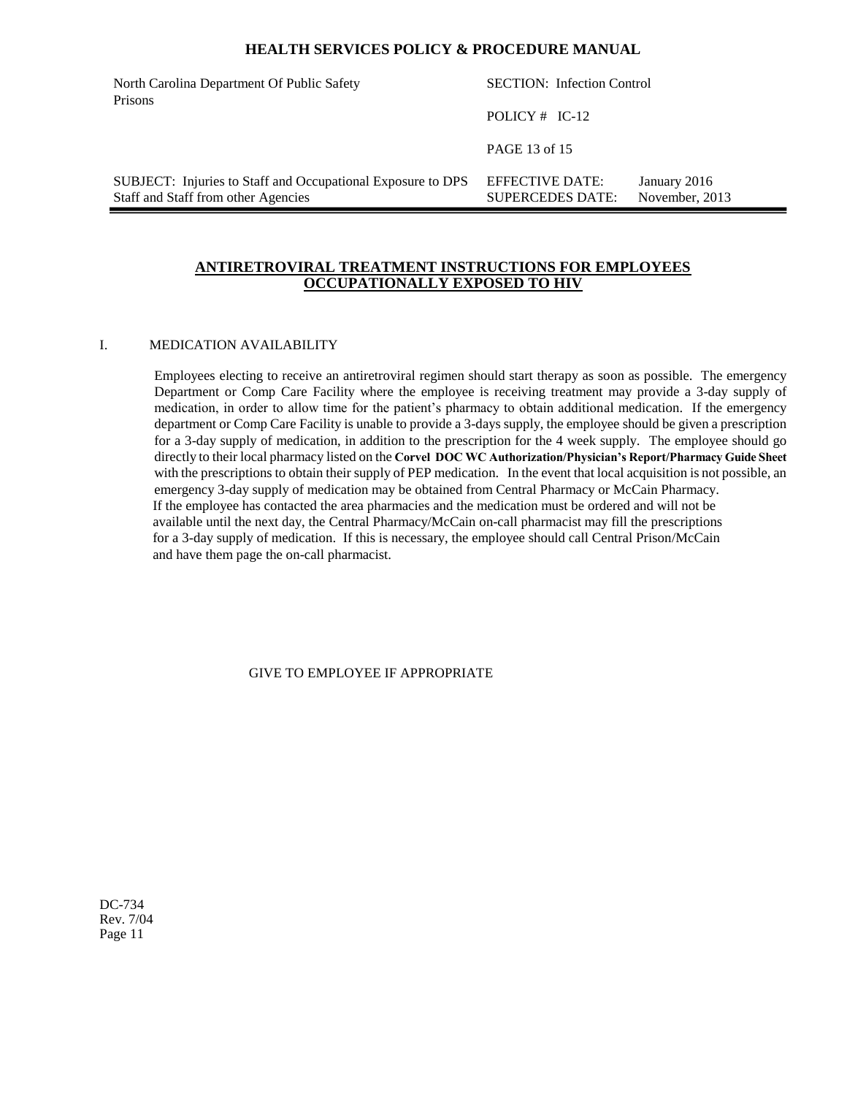| North Carolina Department Of Public Safety<br>Prisons                                              | <b>SECTION:</b> Infection Control                 |                                |  |
|----------------------------------------------------------------------------------------------------|---------------------------------------------------|--------------------------------|--|
|                                                                                                    | POLICY $#$ IC-12                                  |                                |  |
|                                                                                                    | PAGE 13 of 15                                     |                                |  |
| SUBJECT: Injuries to Staff and Occupational Exposure to DPS<br>Staff and Staff from other Agencies | <b>EFFECTIVE DATE:</b><br><b>SUPERCEDES DATE:</b> | January 2016<br>November, 2013 |  |

## **ANTIRETROVIRAL TREATMENT INSTRUCTIONS FOR EMPLOYEES OCCUPATIONALLY EXPOSED TO HIV**

#### I. MEDICATION AVAILABILITY

Employees electing to receive an antiretroviral regimen should start therapy as soon as possible. The emergency Department or Comp Care Facility where the employee is receiving treatment may provide a 3-day supply of medication, in order to allow time for the patient's pharmacy to obtain additional medication. If the emergency department or Comp Care Facility is unable to provide a 3-days supply, the employee should be given a prescription for a 3-day supply of medication, in addition to the prescription for the 4 week supply. The employee should go directly to their local pharmacy listed on the **Corvel DOC WC Authorization/Physician's Report/Pharmacy Guide Sheet** with the prescriptions to obtain their supply of PEP medication. In the event that local acquisition is not possible, an emergency 3-day supply of medication may be obtained from Central Pharmacy or McCain Pharmacy. If the employee has contacted the area pharmacies and the medication must be ordered and will not be available until the next day, the Central Pharmacy/McCain on-call pharmacist may fill the prescriptions for a 3-day supply of medication. If this is necessary, the employee should call Central Prison/McCain and have them page the on-call pharmacist.

GIVE TO EMPLOYEE IF APPROPRIATE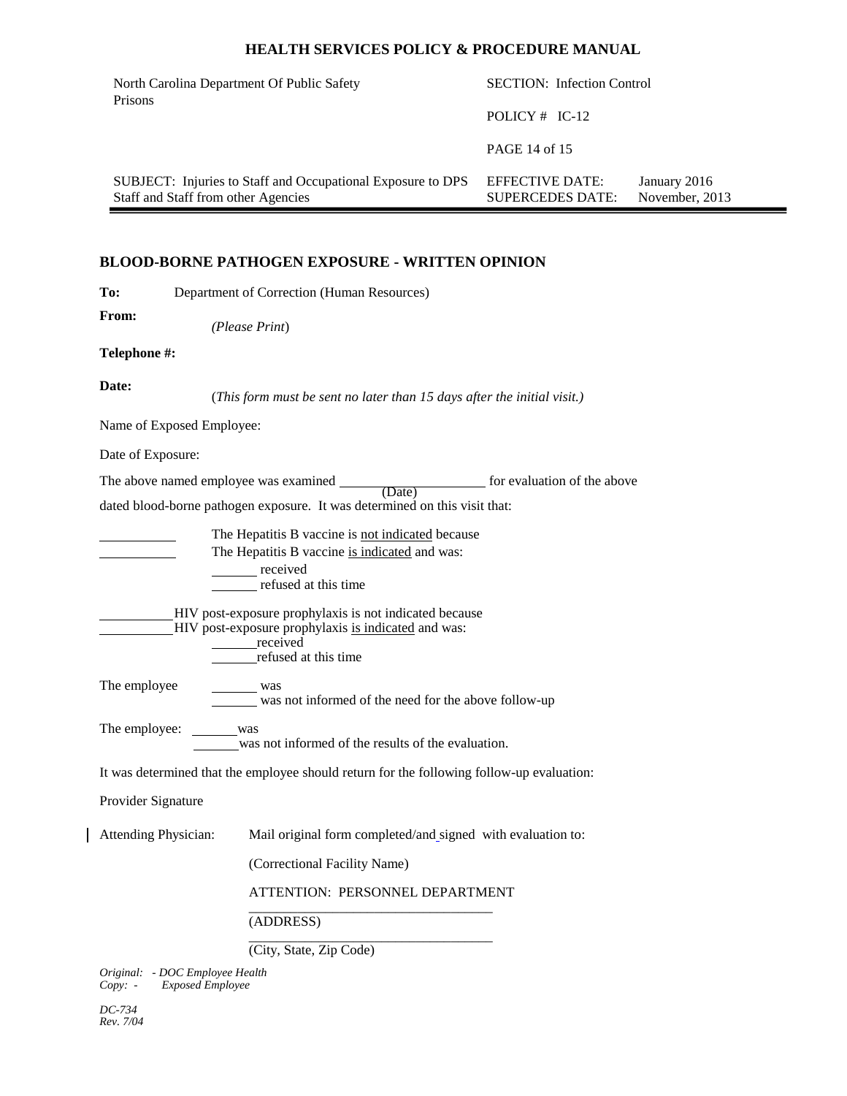| North Carolina Department Of Public Safety                                                         | <b>SECTION:</b> Infection Control          |                                |  |
|----------------------------------------------------------------------------------------------------|--------------------------------------------|--------------------------------|--|
| Prisons                                                                                            | POLICY $#$ IC-12                           |                                |  |
|                                                                                                    | PAGE 14 of 15                              |                                |  |
| SUBJECT: Injuries to Staff and Occupational Exposure to DPS<br>Staff and Staff from other Agencies | EFFECTIVE DATE:<br><b>SUPERCEDES DATE:</b> | January 2016<br>November, 2013 |  |

## **BLOOD-BORNE PATHOGEN EXPOSURE - WRITTEN OPINION**

| To:                             | Department of Correction (Human Resources)                                                                                                                                                                                                                                                  |
|---------------------------------|---------------------------------------------------------------------------------------------------------------------------------------------------------------------------------------------------------------------------------------------------------------------------------------------|
| From:                           | (Please Print)                                                                                                                                                                                                                                                                              |
| Telephone #:                    |                                                                                                                                                                                                                                                                                             |
| Date:                           | (This form must be sent no later than 15 days after the initial visit.)                                                                                                                                                                                                                     |
| Name of Exposed Employee:       |                                                                                                                                                                                                                                                                                             |
| Date of Exposure:               |                                                                                                                                                                                                                                                                                             |
|                                 | The above named employee was examined $\frac{1}{\text{(Date)}}$ for evaluation of the above<br>dated blood-borne pathogen exposure. It was determined on this visit that:                                                                                                                   |
|                                 | The Hepatitis B vaccine is not indicated because<br>The Hepatitis B vaccine is indicated and was:<br>received<br>refused at this time<br>HIV post-exposure prophylaxis is not indicated because<br>-HIV post-exposure prophylaxis is indicated and was:<br>received<br>refused at this time |
| The employee                    | $\frac{\ }{\ }$ was<br>was not informed of the need for the above follow-up                                                                                                                                                                                                                 |
| The employee: was               | was not informed of the results of the evaluation.                                                                                                                                                                                                                                          |
|                                 | It was determined that the employee should return for the following follow-up evaluation:                                                                                                                                                                                                   |
| Provider Signature              |                                                                                                                                                                                                                                                                                             |
| <b>Attending Physician:</b>     | Mail original form completed/and_signed with evaluation to:<br>(Correctional Facility Name)<br>ATTENTION: PERSONNEL DEPARTMENT                                                                                                                                                              |
|                                 | (ADDRESS)                                                                                                                                                                                                                                                                                   |
|                                 |                                                                                                                                                                                                                                                                                             |
| Original: - DOC Employee Health | (City, State, Zip Code)                                                                                                                                                                                                                                                                     |

*DC-734 Rev. 7/04*

 $\mathbf{I}$ 

*Copy: - Exposed Employee*